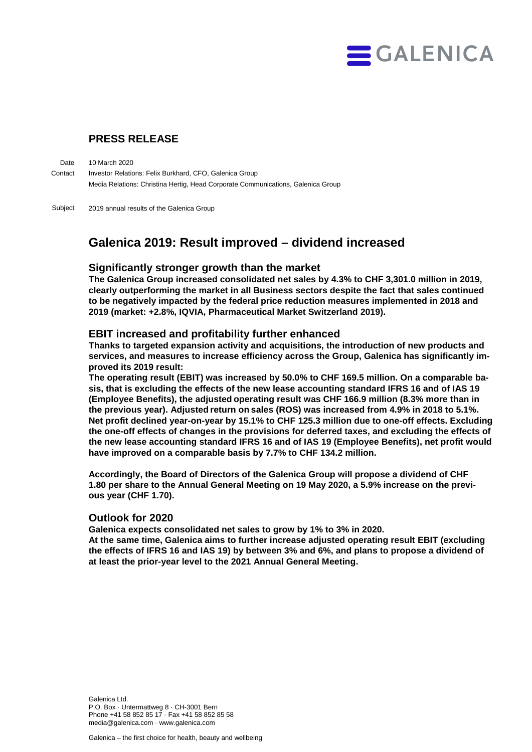

## **PRESS RELEASE**

10 March 2020 Investor Relations: Felix Burkhard, CFO, Galenica Group Media Relations: Christina Hertig, Head Corporate Communications, Galenica Group Date **Contact** 

2019 annual results of the Galenica Group Subject

# **Galenica 2019: Result improved – dividend increased**

## **Significantly stronger growth than the market**

**The Galenica Group increased consolidated net sales by 4.3% to CHF 3,301.0 million in 2019, clearly outperforming the market in all Business sectors despite the fact that sales continued to be negatively impacted by the federal price reduction measures implemented in 2018 and 2019 (market: +2.8%, IQVIA, Pharmaceutical Market Switzerland 2019).** 

## **EBIT increased and profitability further enhanced**

**Thanks to targeted expansion activity and acquisitions, the introduction of new products and services, and measures to increase efficiency across the Group, Galenica has significantly improved its 2019 result:**

**The operating result (EBIT) was increased by 50.0% to CHF 169.5 million. On a comparable basis, that is excluding the effects of the new lease accounting standard IFRS 16 and of IAS 19 (Employee Benefits), the adjusted operating result was CHF 166.9 million (8.3% more than in the previous year). Adjusted return on sales (ROS) was increased from 4.9% in 2018 to 5.1%. Net profit declined year-on-year by 15.1% to CHF 125.3 million due to one-off effects. Excluding the one-off effects of changes in the provisions for deferred taxes, and excluding the effects of the new lease accounting standard IFRS 16 and of IAS 19 (Employee Benefits), net profit would have improved on a comparable basis by 7.7% to CHF 134.2 million.**

**Accordingly, the Board of Directors of the Galenica Group will propose a dividend of CHF 1.80 per share to the Annual General Meeting on 19 May 2020, a 5.9% increase on the previous year (CHF 1.70).**

## **Outlook for 2020**

**Galenica expects consolidated net sales to grow by 1% to 3% in 2020.**

**At the same time, Galenica aims to further increase adjusted operating result EBIT (excluding the effects of IFRS 16 and IAS 19) by between 3% and 6%, and plans to propose a dividend of at least the prior-year level to the 2021 Annual General Meeting.** 

Galenica Ltd. P.O. Box · Untermattweg 8 · CH-3001 Bern Phone +41 58 852 85 17 · Fax +41 58 852 85 58 media@galenica.com · www.galenica.com

Galenica – the first choice for health, beauty and wellbeing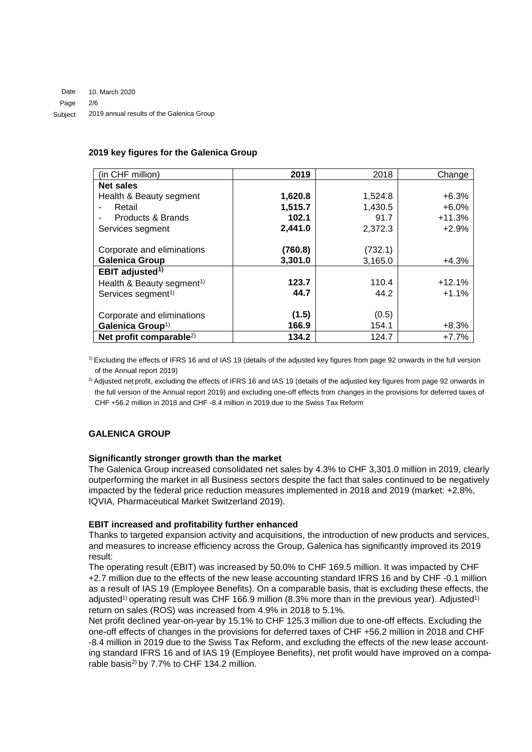#### **2019 key figures for the Galenica Group**

| (in CHF million)                      | 2019    | 2018    | Change   |
|---------------------------------------|---------|---------|----------|
| <b>Net sales</b>                      |         |         |          |
| Health & Beauty segment               | 1,620.8 | 1,524.8 | $+6.3%$  |
| Retail                                | 1,515.7 | 1,430.5 | $+6.0%$  |
| Products & Brands                     | 102.1   | 91.7    | $+11.3%$ |
| Services segment                      | 2,441.0 | 2,372.3 | $+2.9%$  |
|                                       |         |         |          |
| Corporate and eliminations            | (760.8) | (732.1) |          |
| <b>Galenica Group</b>                 | 3,301.0 | 3,165.0 | $+4.3%$  |
| EBIT adjusted <sup>1)</sup>           |         |         |          |
| Health & Beauty segment <sup>1)</sup> | 123.7   | 110.4   | $+12.1%$ |
| Services segment <sup>1)</sup>        | 44.7    | 44.2    | $+1.1%$  |
|                                       |         |         |          |
| Corporate and eliminations            | (1.5)   | (0.5)   |          |
| Galenica Group <sup>1)</sup>          | 166.9   | 154.1   | $+8.3%$  |
| Net profit comparable <sup>2)</sup>   | 134.2   | 124.7   | $+7.7%$  |

1) Excluding the effects of IFRS 16 and of IAS 19 (details of the adjusted key figures from page 92 onwards in the full version of the Annual report 2019)

 $^{2)}$  Adjusted net profit, excluding the effects of IFRS 16 and IAS 19 (details of the adjusted key figures from page 92 onwards in the full version of the Annual report 2019) and excluding one-off effects from changes in the provisions for deferred taxes of CHF +56.2 million in 2018 and CHF -8.4 million in 2019 due to the Swiss Tax Reform

## **GALENICA GROUP**

#### **Significantly stronger growth than the market**

The Galenica Group increased consolidated net sales by 4.3% to CHF 3,301.0 million in 2019, clearly outperforming the market in all Business sectors despite the fact that sales continued to be negatively impacted by the federal price reduction measures implemented in 2018 and 2019 (market: +2.8%, IQVIA, Pharmaceutical Market Switzerland 2019).

## **EBIT increased and profitability further enhanced**

Thanks to targeted expansion activity and acquisitions, the introduction of new products and services, and measures to increase efficiency across the Group, Galenica has significantly improved its 2019 result:

The operating result (EBIT) was increased by 50.0% to CHF 169.5 million. It was impacted by CHF +2.7 million due to the effects of the new lease accounting standard IFRS 16 and by CHF -0.1 million as a result of IAS 19 (Employee Benefits). On a comparable basis, that is excluding these effects, the adjusted<sup>1)</sup> operating result was CHF 166.9 million (8.3% more than in the previous year). Adjusted<sup>1)</sup> return on sales (ROS) was increased from 4.9% in 2018 to 5.1%.

Net profit declined year-on-year by 15.1% to CHF 125.3 million due to one-off effects. Excluding the one-off effects of changes in the provisions for deferred taxes of CHF +56.2 million in 2018 and CHF -8.4 million in 2019 due to the Swiss Tax Reform, and excluding the effects of the new lease accounting standard IFRS 16 and of IAS 19 (Employee Benefits), net profit would have improved on a comparable basis<sup>2)</sup> by 7.7% to CHF 134.2 million.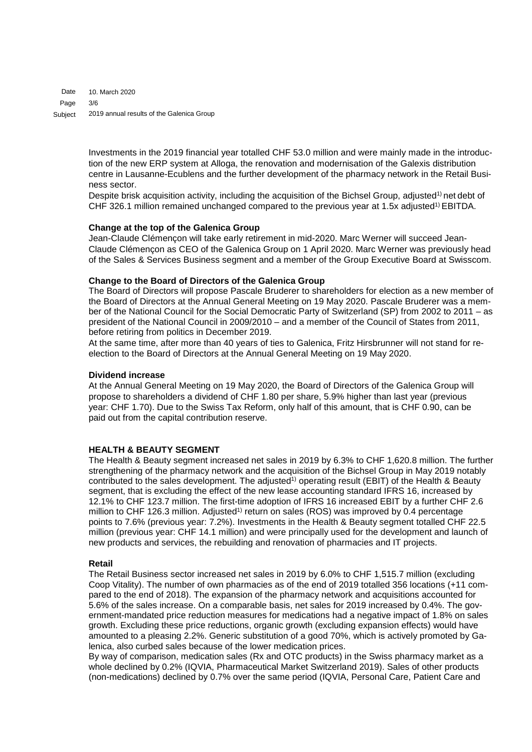10. March 2020 3/6 2019 annual results of the Galenica Group Date Page Subject

> Investments in the 2019 financial year totalled CHF 53.0 million and were mainly made in the introduction of the new ERP system at Alloga, the renovation and modernisation of the Galexis distribution centre in Lausanne-Ecublens and the further development of the pharmacy network in the Retail Business sector.

Despite brisk acquisition activity, including the acquisition of the Bichsel Group, adjusted<sup>1</sup>) net debt of CHF 326.1 million remained unchanged compared to the previous year at 1.5x adjusted<sup>1)</sup> EBITDA.

#### **Change at the top of the Galenica Group**

Jean-Claude Clémençon will take early retirement in mid-2020. Marc Werner will succeed Jean-Claude Clémençon as CEO of the Galenica Group on 1 April 2020. Marc Werner was previously head of the Sales & Services Business segment and a member of the Group Executive Board at Swisscom.

#### **Change to the Board of Directors of the Galenica Group**

The Board of Directors will propose Pascale Bruderer to shareholders for election as a new member of the Board of Directors at the Annual General Meeting on 19 May 2020. Pascale Bruderer was a member of the National Council for the Social Democratic Party of Switzerland (SP) from 2002 to 2011 – as president of the National Council in 2009/2010 – and a member of the Council of States from 2011, before retiring from politics in December 2019.

At the same time, after more than 40 years of ties to Galenica, Fritz Hirsbrunner will not stand for reelection to the Board of Directors at the Annual General Meeting on 19 May 2020.

#### **Dividend increase**

At the Annual General Meeting on 19 May 2020, the Board of Directors of the Galenica Group will propose to shareholders a dividend of CHF 1.80 per share, 5.9% higher than last year (previous year: CHF 1.70). Due to the Swiss Tax Reform, only half of this amount, that is CHF 0.90, can be paid out from the capital contribution reserve.

## **HEALTH & BEAUTY SEGMENT**

The Health & Beauty segment increased net sales in 2019 by 6.3% to CHF 1,620.8 million. The further strengthening of the pharmacy network and the acquisition of the Bichsel Group in May 2019 notably contributed to the sales development. The adjusted<sup>1)</sup> operating result (EBIT) of the Health & Beauty segment, that is excluding the effect of the new lease accounting standard IFRS 16, increased by 12.1% to CHF 123.7 million. The first-time adoption of IFRS 16 increased EBIT by a further CHF 2.6 million to CHF 126.3 million. Adjusted<sup>1)</sup> return on sales (ROS) was improved by 0.4 percentage points to 7.6% (previous year: 7.2%). Investments in the Health & Beauty segment totalled CHF 22.5 million (previous year: CHF 14.1 million) and were principally used for the development and launch of new products and services, the rebuilding and renovation of pharmacies and IT projects.

#### **Retail**

The Retail Business sector increased net sales in 2019 by 6.0% to CHF 1,515.7 million (excluding Coop Vitality). The number of own pharmacies as of the end of 2019 totalled 356 locations (+11 compared to the end of 2018). The expansion of the pharmacy network and acquisitions accounted for 5.6% of the sales increase. On a comparable basis, net sales for 2019 increased by 0.4%. The government-mandated price reduction measures for medications had a negative impact of 1.8% on sales growth. Excluding these price reductions, organic growth (excluding expansion effects) would have amounted to a pleasing 2.2%. Generic substitution of a good 70%, which is actively promoted by Galenica, also curbed sales because of the lower medication prices.

By way of comparison, medication sales (Rx and OTC products) in the Swiss pharmacy market as a whole declined by 0.2% (IQVIA, Pharmaceutical Market Switzerland 2019). Sales of other products (non-medications) declined by 0.7% over the same period (IQVIA, Personal Care, Patient Care and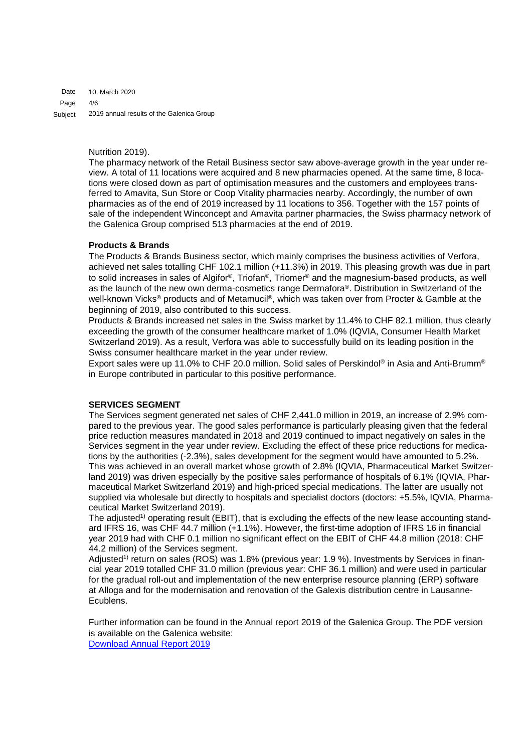10. March 2020 4/6 2019 annual results of the Galenica Group Date Page Subject

#### Nutrition 2019).

The pharmacy network of the Retail Business sector saw above-average growth in the year under review. A total of 11 locations were acquired and 8 new pharmacies opened. At the same time, 8 locations were closed down as part of optimisation measures and the customers and employees transferred to Amavita, Sun Store or Coop Vitality pharmacies nearby. Accordingly, the number of own pharmacies as of the end of 2019 increased by 11 locations to 356. Together with the 157 points of sale of the independent Winconcept and Amavita partner pharmacies, the Swiss pharmacy network of the Galenica Group comprised 513 pharmacies at the end of 2019.

#### **Products & Brands**

The Products & Brands Business sector, which mainly comprises the business activities of Verfora, achieved net sales totalling CHF 102.1 million (+11.3%) in 2019. This pleasing growth was due in part to solid increases in sales of Algifor®, Triofan®, Triomer® and the magnesium-based products, as well as the launch of the new own derma-cosmetics range Dermafora®. Distribution in Switzerland of the well-known Vicks<sup>®</sup> products and of Metamucil<sup>®</sup>, which was taken over from Procter & Gamble at the beginning of 2019, also contributed to this success.

Products & Brands increased net sales in the Swiss market by 11.4% to CHF 82.1 million, thus clearly exceeding the growth of the consumer healthcare market of 1.0% (IQVIA, Consumer Health Market Switzerland 2019). As a result, Verfora was able to successfully build on its leading position in the Swiss consumer healthcare market in the year under review.

Export sales were up 11.0% to CHF 20.0 million. Solid sales of Perskindol® in Asia and Anti-Brumm® in Europe contributed in particular to this positive performance.

## **SERVICES SEGMENT**

The Services segment generated net sales of CHF 2,441.0 million in 2019, an increase of 2.9% compared to the previous year. The good sales performance is particularly pleasing given that the federal price reduction measures mandated in 2018 and 2019 continued to impact negatively on sales in the Services segment in the year under review. Excluding the effect of these price reductions for medications by the authorities (-2.3%), sales development for the segment would have amounted to 5.2%. This was achieved in an overall market whose growth of 2.8% (IQVIA, Pharmaceutical Market Switzerland 2019) was driven especially by the positive sales performance of hospitals of 6.1% (IQVIA, Pharmaceutical Market Switzerland 2019) and high-priced special medications. The latter are usually not supplied via wholesale but directly to hospitals and specialist doctors (doctors: +5.5%, IQVIA, Pharmaceutical Market Switzerland 2019).

The adjusted<sup>1)</sup> operating result (EBIT), that is excluding the effects of the new lease accounting standard IFRS 16, was CHF 44.7 million (+1.1%). However, the first-time adoption of IFRS 16 in financial year 2019 had with CHF 0.1 million no significant effect on the EBIT of CHF 44.8 million (2018: CHF 44.2 million) of the Services segment.

Adjusted<sup>1)</sup> return on sales (ROS) was 1.8% (previous year: 1.9 %). Investments by Services in financial year 2019 totalled CHF 31.0 million (previous year: CHF 36.1 million) and were used in particular for the gradual roll-out and implementation of the new enterprise resource planning (ERP) software at Alloga and for the modernisation and renovation of the Galexis distribution centre in Lausanne-Ecublens.

Further information can be found in the Annual report 2019 of the Galenica Group. The PDF version is available on the Galenica website: [Download Annual Report 2019](http://www.galenica.com/galenicaAssets/bin/en/publikationen/geschaeftsbericht-2019/gb19_vollversion_en_web.pdf)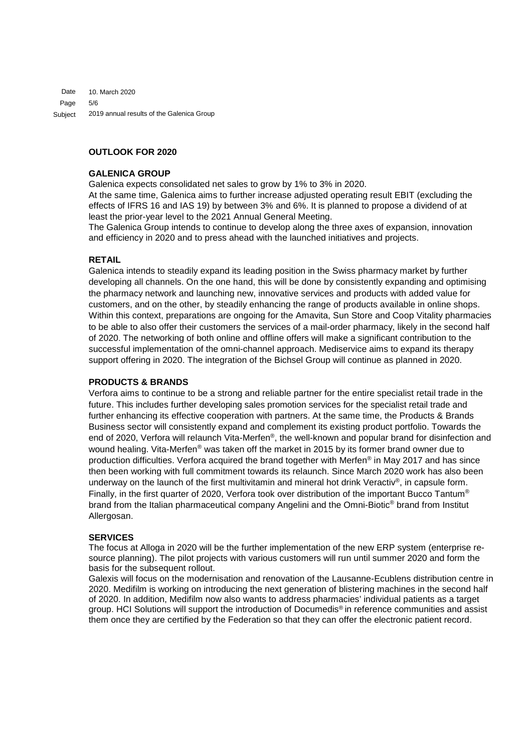10. March 2020 5/6 2019 annual results of the Galenica Group Date Page Subject

## **OUTLOOK FOR 2020**

#### **GALENICA GROUP**

Galenica expects consolidated net sales to grow by 1% to 3% in 2020.

At the same time, Galenica aims to further increase adjusted operating result EBIT (excluding the effects of IFRS 16 and IAS 19) by between 3% and 6%. It is planned to propose a dividend of at least the prior-year level to the 2021 Annual General Meeting.

The Galenica Group intends to continue to develop along the three axes of expansion, innovation and efficiency in 2020 and to press ahead with the launched initiatives and projects.

#### **RETAIL**

Galenica intends to steadily expand its leading position in the Swiss pharmacy market by further developing all channels. On the one hand, this will be done by consistently expanding and optimising the pharmacy network and launching new, innovative services and products with added value for customers, and on the other, by steadily enhancing the range of products available in online shops. Within this context, preparations are ongoing for the Amavita, Sun Store and Coop Vitality pharmacies to be able to also offer their customers the services of a mail-order pharmacy, likely in the second half of 2020. The networking of both online and offline offers will make a significant contribution to the successful implementation of the omni-channel approach. Mediservice aims to expand its therapy support offering in 2020. The integration of the Bichsel Group will continue as planned in 2020.

#### **PRODUCTS & BRANDS**

Verfora aims to continue to be a strong and reliable partner for the entire specialist retail trade in the future. This includes further developing sales promotion services for the specialist retail trade and further enhancing its effective cooperation with partners. At the same time, the Products & Brands Business sector will consistently expand and complement its existing product portfolio. Towards the end of 2020, Verfora will relaunch Vita-Merfen®, the well-known and popular brand for disinfection and wound healing. Vita-Merfen® was taken off the market in 2015 by its former brand owner due to production difficulties. Verfora acquired the brand together with Merfen® in May 2017 and has since then been working with full commitment towards its relaunch. Since March 2020 work has also been underway on the launch of the first multivitamin and mineral hot drink Veractiv®, in capsule form. Finally, in the first quarter of 2020, Verfora took over distribution of the important Bucco Tantum<sup>®</sup> brand from the Italian pharmaceutical company Angelini and the Omni-Biotic® brand from Institut Allergosan.

#### **SERVICES**

The focus at Alloga in 2020 will be the further implementation of the new ERP system (enterprise resource planning). The pilot projects with various customers will run until summer 2020 and form the basis for the subsequent rollout.

Galexis will focus on the modernisation and renovation of the Lausanne-Ecublens distribution centre in 2020. Medifilm is working on introducing the next generation of blistering machines in the second half of 2020. In addition, Medifilm now also wants to address pharmacies' individual patients as a target group. HCI Solutions will support the introduction of Documedis® in reference communities and assist them once they are certified by the Federation so that they can offer the electronic patient record.